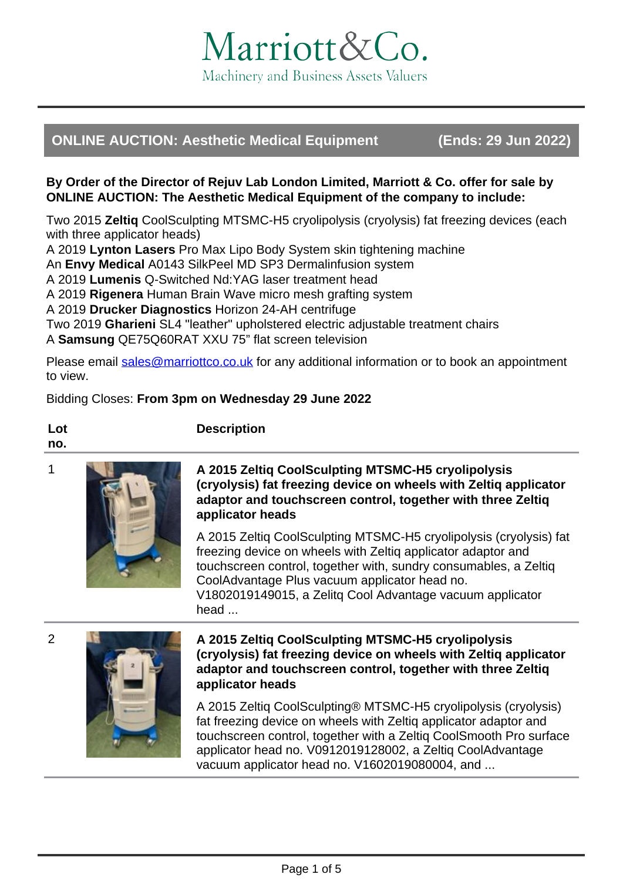

# **ONLINE AUCTION: Aesthetic Medical Equipment (Ends: 29 Jun 2022)**

### **By Order of the Director of Rejuv Lab London Limited, Marriott & Co. offer for sale by ONLINE AUCTION: The Aesthetic Medical Equipment of the company to include:**

Two 2015 **Zeltiq** CoolSculpting MTSMC-H5 cryolipolysis (cryolysis) fat freezing devices (each with three applicator heads)

A 2019 **Lynton Lasers** Pro Max Lipo Body System skin tightening machine

An **Envy Medical** A0143 SilkPeel MD SP3 Dermalinfusion system

A 2019 **Lumenis** Q-Switched Nd:YAG laser treatment head

A 2019 **Rigenera** Human Brain Wave micro mesh grafting system

**Description**

A 2019 **Drucker Diagnostics** Horizon 24-AH centrifuge

Two 2019 **Gharieni** SL4 "leather" upholstered electric adjustable treatment chairs

A **Samsung** QE75Q60RAT XXU 75" flat screen television

Please email [sales@marriottco.co.uk](mailto:sales@marriottco.co.uk) for any additional information or to book an appointment to view.

# Bidding Closes: **From 3pm on Wednesday 29 June 2022**

#### **Lot no.**



## 1 **A 2015 Zeltiq CoolSculpting MTSMC-H5 cryolipolysis (cryolysis) fat freezing device on wheels with Zeltiq applicator adaptor and touchscreen control, together with three Zeltiq applicator heads**

A 2015 Zeltiq CoolSculpting MTSMC-H5 cryolipolysis (cryolysis) fat freezing device on wheels with Zeltiq applicator adaptor and touchscreen control, together with, sundry consumables, a Zeltiq CoolAdvantage Plus vacuum applicator head no. V1802019149015, a Zelitq Cool Advantage vacuum applicator head ...



#### 2 **A 2015 Zeltiq CoolSculpting MTSMC-H5 cryolipolysis (cryolysis) fat freezing device on wheels with Zeltiq applicator adaptor and touchscreen control, together with three Zeltiq applicator heads**

A 2015 Zeltiq CoolSculpting® MTSMC-H5 cryolipolysis (cryolysis) fat freezing device on wheels with Zeltiq applicator adaptor and touchscreen control, together with a Zeltiq CoolSmooth Pro surface applicator head no. V0912019128002, a Zeltiq CoolAdvantage vacuum applicator head no. V1602019080004, and ...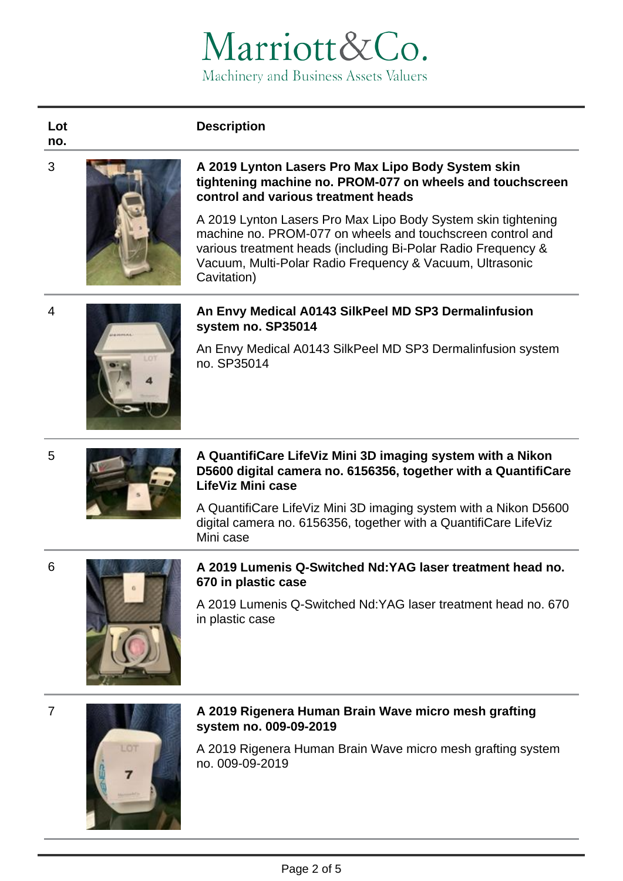# Marriott&Co. Machinery and Business Assets Valuers

# **Description**

#### **Lot no.**



#### 3 **A 2019 Lynton Lasers Pro Max Lipo Body System skin tightening machine no. PROM-077 on wheels and touchscreen control and various treatment heads**

A 2019 Lynton Lasers Pro Max Lipo Body System skin tightening machine no. PROM-077 on wheels and touchscreen control and various treatment heads (including Bi-Polar Radio Frequency & Vacuum, Multi-Polar Radio Frequency & Vacuum, Ultrasonic Cavitation)



# 4 **An Envy Medical A0143 SilkPeel MD SP3 Dermalinfusion system no. SP35014**

An Envy Medical A0143 SilkPeel MD SP3 Dermalinfusion system no. SP35014



# 5 **A QuantifiCare LifeViz Mini 3D imaging system with a Nikon D5600 digital camera no. 6156356, together with a QuantifiCare LifeViz Mini case**

A QuantifiCare LifeViz Mini 3D imaging system with a Nikon D5600 digital camera no. 6156356, together with a QuantifiCare LifeViz Mini case





# 6 **A 2019 Lumenis Q-Switched Nd:YAG laser treatment head no. 670 in plastic case**

A 2019 Lumenis Q-Switched Nd:YAG laser treatment head no. 670 in plastic case



# 7 **A 2019 Rigenera Human Brain Wave micro mesh grafting system no. 009-09-2019**

A 2019 Rigenera Human Brain Wave micro mesh grafting system no. 009-09-2019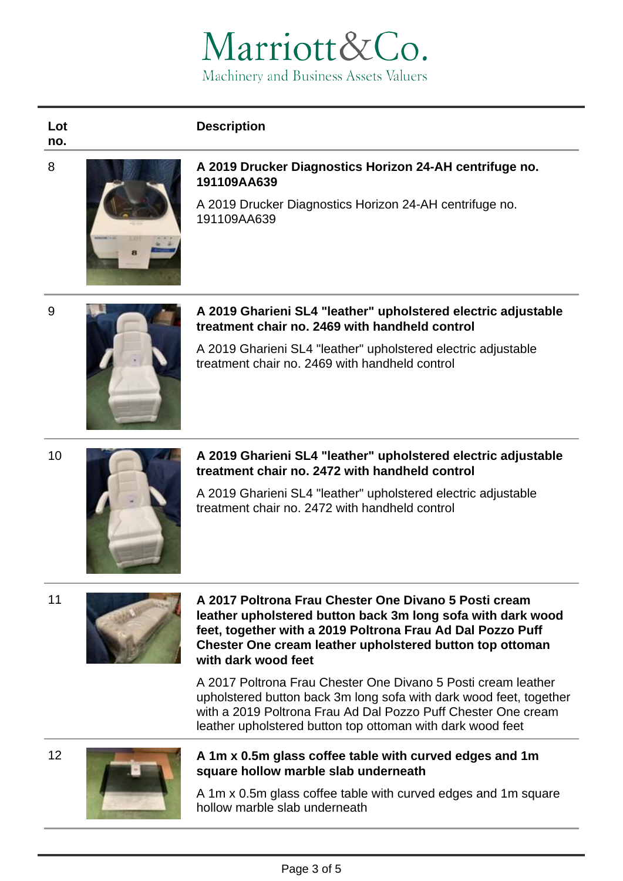# Marriott&Co. Machinery and Business Assets Valuers

# **Description**

**Lot no.**



#### 8 **A 2019 Drucker Diagnostics Horizon 24-AH centrifuge no. 191109AA639**

A 2019 Drucker Diagnostics Horizon 24-AH centrifuge no. 191109AA639



#### 9 **A 2019 Gharieni SL4 "leather" upholstered electric adjustable treatment chair no. 2469 with handheld control**

A 2019 Gharieni SL4 "leather" upholstered electric adjustable treatment chair no. 2469 with handheld control



#### 10 **A 2019 Gharieni SL4 "leather" upholstered electric adjustable treatment chair no. 2472 with handheld control**

A 2019 Gharieni SL4 "leather" upholstered electric adjustable treatment chair no. 2472 with handheld control



#### 11 **A 2017 Poltrona Frau Chester One Divano 5 Posti cream leather upholstered button back 3m long sofa with dark wood feet, together with a 2019 Poltrona Frau Ad Dal Pozzo Puff Chester One cream leather upholstered button top ottoman with dark wood feet**

A 2017 Poltrona Frau Chester One Divano 5 Posti cream leather upholstered button back 3m long sofa with dark wood feet, together with a 2019 Poltrona Frau Ad Dal Pozzo Puff Chester One cream leather upholstered button top ottoman with dark wood feet



# 12 **A 1m x 0.5m glass coffee table with curved edges and 1m square hollow marble slab underneath**

A 1m x 0.5m glass coffee table with curved edges and 1m square hollow marble slab underneath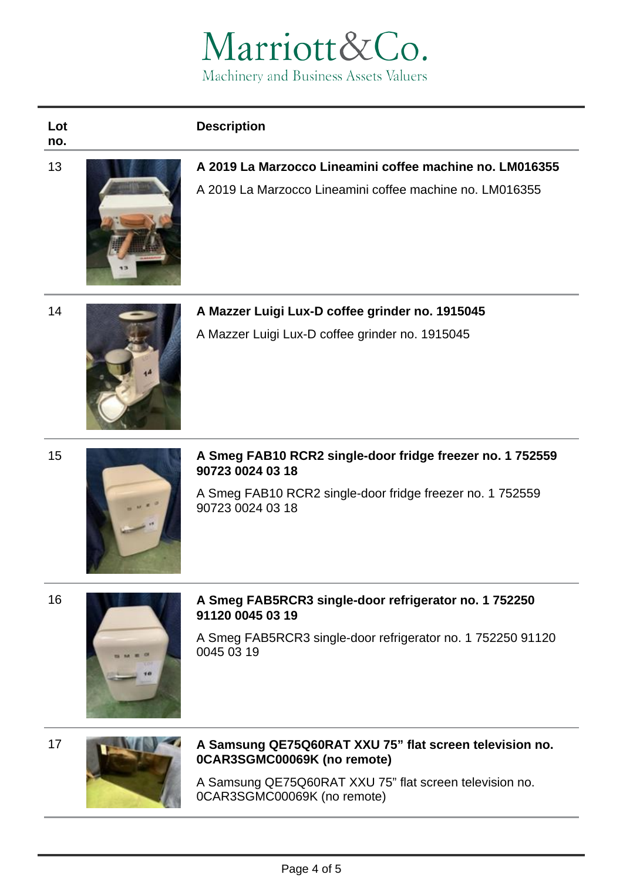

| <b>Description</b> |  |  |
|--------------------|--|--|
|                    |  |  |

#### **Lot no.**



13 **A 2019 La Marzocco Lineamini coffee machine no. LM016355** A 2019 La Marzocco Lineamini coffee machine no. LM016355



14 **A Mazzer Luigi Lux-D coffee grinder no. 1915045** A Mazzer Luigi Lux-D coffee grinder no. 1915045



15 **A Smeg FAB10 RCR2 single-door fridge freezer no. 1 752559 90723 0024 03 18**

> A Smeg FAB10 RCR2 single-door fridge freezer no. 1 752559 90723 0024 03 18



### 16 **A Smeg FAB5RCR3 single-door refrigerator no. 1 752250 91120 0045 03 19**

A Smeg FAB5RCR3 single-door refrigerator no. 1 752250 91120 0045 03 19





# 17 **A Samsung QE75Q60RAT XXU 75" flat screen television no. 0CAR3SGMC00069K (no remote)**

A Samsung QE75Q60RAT XXU 75" flat screen television no. 0CAR3SGMC00069K (no remote)